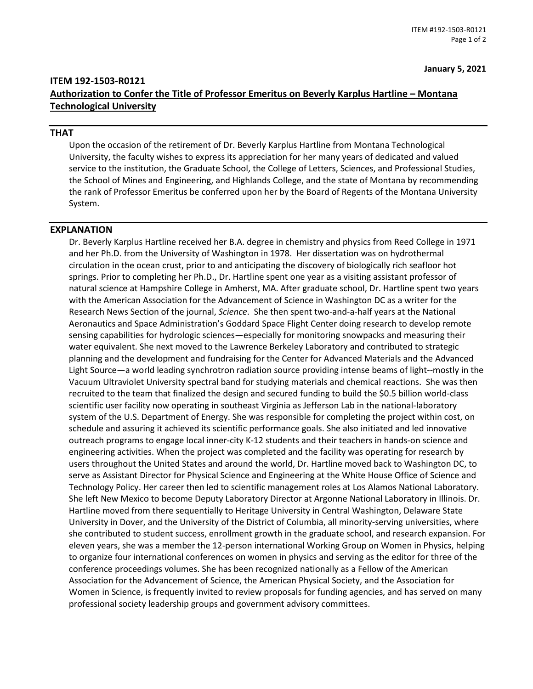## **ITEM 192-1503-R0121 Authorization to Confer the Title of Professor Emeritus on Beverly Karplus Hartline – Montana Technological University**

## **THAT**

Upon the occasion of the retirement of Dr. Beverly Karplus Hartline from Montana Technological University, the faculty wishes to express its appreciation for her many years of dedicated and valued service to the institution, the Graduate School, the College of Letters, Sciences, and Professional Studies, the School of Mines and Engineering, and Highlands College, and the state of Montana by recommending the rank of Professor Emeritus be conferred upon her by the Board of Regents of the Montana University System.

## **EXPLANATION**

Dr. Beverly Karplus Hartline received her B.A. degree in chemistry and physics from Reed College in 1971 and her Ph.D. from the University of Washington in 1978. Her dissertation was on hydrothermal circulation in the ocean crust, prior to and anticipating the discovery of biologically rich seafloor hot springs. Prior to completing her Ph.D., Dr. Hartline spent one year as a visiting assistant professor of natural science at Hampshire College in Amherst, MA. After graduate school, Dr. Hartline spent two years with the American Association for the Advancement of Science in Washington DC as a writer for the Research News Section of the journal, *Science*. She then spent two-and-a-half years at the National Aeronautics and Space Administration's Goddard Space Flight Center doing research to develop remote sensing capabilities for hydrologic sciences—especially for monitoring snowpacks and measuring their water equivalent. She next moved to the Lawrence Berkeley Laboratory and contributed to strategic planning and the development and fundraising for the Center for Advanced Materials and the Advanced Light Source—a world leading synchrotron radiation source providing intense beams of light--mostly in the Vacuum Ultraviolet University spectral band for studying materials and chemical reactions. She was then recruited to the team that finalized the design and secured funding to build the \$0.5 billion world-class scientific user facility now operating in southeast Virginia as Jefferson Lab in the national-laboratory system of the U.S. Department of Energy. She was responsible for completing the project within cost, on schedule and assuring it achieved its scientific performance goals. She also initiated and led innovative outreach programs to engage local inner-city K-12 students and their teachers in hands-on science and engineering activities. When the project was completed and the facility was operating for research by users throughout the United States and around the world, Dr. Hartline moved back to Washington DC, to serve as Assistant Director for Physical Science and Engineering at the White House Office of Science and Technology Policy. Her career then led to scientific management roles at Los Alamos National Laboratory. She left New Mexico to become Deputy Laboratory Director at Argonne National Laboratory in Illinois. Dr. Hartline moved from there sequentially to Heritage University in Central Washington, Delaware State University in Dover, and the University of the District of Columbia, all minority-serving universities, where she contributed to student success, enrollment growth in the graduate school, and research expansion. For eleven years, she was a member the 12-person international Working Group on Women in Physics, helping to organize four international conferences on women in physics and serving as the editor for three of the conference proceedings volumes. She has been recognized nationally as a Fellow of the American Association for the Advancement of Science, the American Physical Society, and the Association for Women in Science, is frequently invited to review proposals for funding agencies, and has served on many professional society leadership groups and government advisory committees.